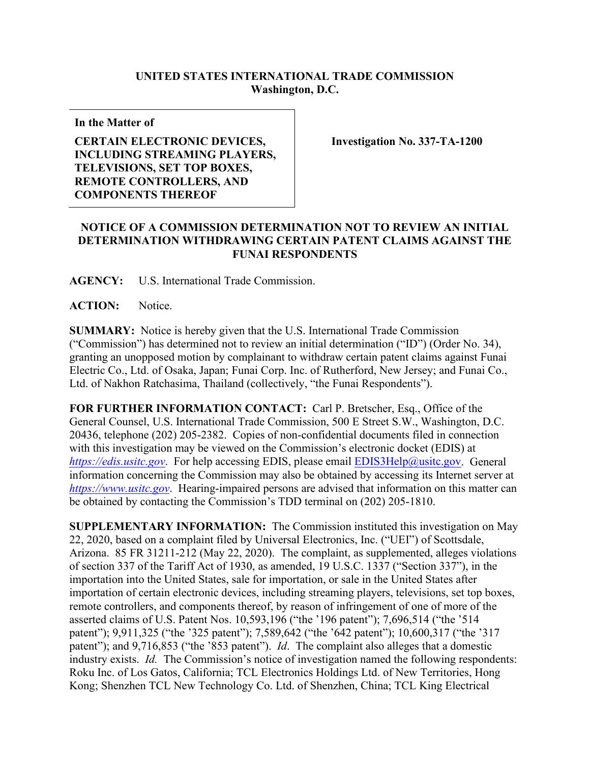## **UNITED STATES INTERNATIONAL TRADE COMMISSION Washington, D.C.**

**In the Matter of**

## **CERTAIN ELECTRONIC DEVICES, INCLUDING STREAMING PLAYERS, TELEVISIONS, SET TOP BOXES, REMOTE CONTROLLERS, AND COMPONENTS THEREOF**

**Investigation No. 337-TA-1200**

## **NOTICE OF A COMMISSION DETERMINATION NOT TO REVIEW AN INITIAL DETERMINATION WITHDRAWING CERTAIN PATENT CLAIMS AGAINST THE FUNAI RESPONDENTS**

**AGENCY:** U.S. International Trade Commission.

**ACTION:** Notice.

**SUMMARY:** Notice is hereby given that the U.S. International Trade Commission ("Commission") has determined not to review an initial determination ("ID") (Order No. 34), granting an unopposed motion by complainant to withdraw certain patent claims against Funai Electric Co., Ltd. of Osaka, Japan; Funai Corp. Inc. of Rutherford, New Jersey; and Funai Co., Ltd. of Nakhon Ratchasima, Thailand (collectively, "the Funai Respondents").

**FOR FURTHER INFORMATION CONTACT:** Carl P. Bretscher, Esq., Office of the General Counsel, U.S. International Trade Commission, 500 E Street S.W., Washington, D.C. 20436, telephone (202) 205-2382. Copies of non-confidential documents filed in connection with this investigation may be viewed on the Commission's electronic docket (EDIS) at *[https://edis.usitc.gov](https://edis.usitc.gov/).* For help accessing EDIS, please email [EDIS3Help@usitc.gov.](mailto:EDIS3Help@usitc.gov) General information concerning the Commission may also be obtained by accessing its Internet server at *[https://www.usitc.gov](https://www.usitc.gov/)*. Hearing-impaired persons are advised that information on this matter can be obtained by contacting the Commission's TDD terminal on (202) 205-1810.

**SUPPLEMENTARY INFORMATION:** The Commission instituted this investigation on May 22, 2020, based on a complaint filed by Universal Electronics, Inc. ("UEI") of Scottsdale, Arizona. 85 FR 31211-212 (May 22, 2020). The complaint, as supplemented, alleges violations of section 337 of the Tariff Act of 1930, as amended, 19 U.S.C. 1337 ("Section 337"), in the importation into the United States, sale for importation, or sale in the United States after importation of certain electronic devices, including streaming players, televisions, set top boxes, remote controllers, and components thereof, by reason of infringement of one of more of the asserted claims of U.S. Patent Nos. 10,593,196 ("the '196 patent"); 7,696,514 ("the '514 patent"); 9,911,325 ("the '325 patent"); 7,589,642 ("the '642 patent"); 10,600,317 ("the '317 patent"); and 9,716,853 ("the '853 patent"). *Id*. The complaint also alleges that a domestic industry exists. *Id.* The Commission's notice of investigation named the following respondents: Roku Inc. of Los Gatos, California; TCL Electronics Holdings Ltd. of New Territories, Hong Kong; Shenzhen TCL New Technology Co. Ltd. of Shenzhen, China; TCL King Electrical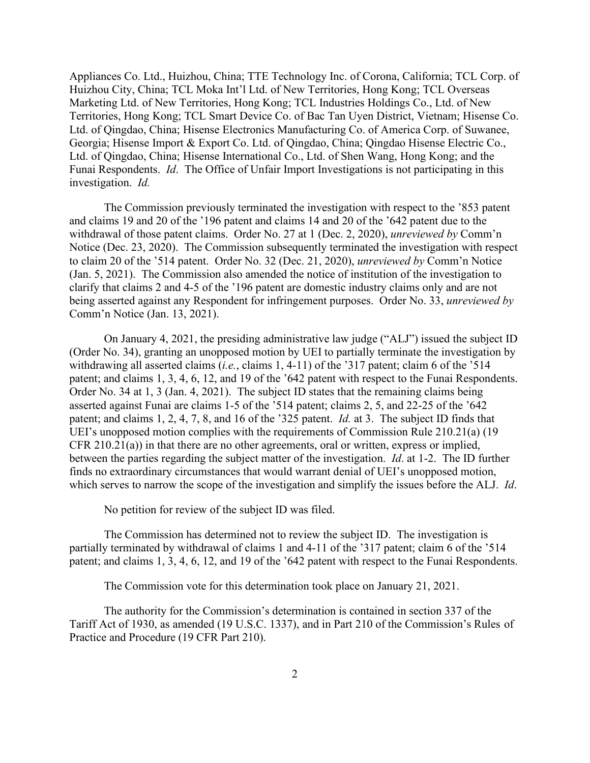Appliances Co. Ltd., Huizhou, China; TTE Technology Inc. of Corona, California; TCL Corp. of Huizhou City, China; TCL Moka Int'l Ltd. of New Territories, Hong Kong; TCL Overseas Marketing Ltd. of New Territories, Hong Kong; TCL Industries Holdings Co., Ltd. of New Territories, Hong Kong; TCL Smart Device Co. of Bac Tan Uyen District, Vietnam; Hisense Co. Ltd. of Qingdao, China; Hisense Electronics Manufacturing Co. of America Corp. of Suwanee, Georgia; Hisense Import & Export Co. Ltd. of Qingdao, China; Qingdao Hisense Electric Co., Ltd. of Qingdao, China; Hisense International Co., Ltd. of Shen Wang, Hong Kong; and the Funai Respondents. *Id*. The Office of Unfair Import Investigations is not participating in this investigation. *Id.*

The Commission previously terminated the investigation with respect to the '853 patent and claims 19 and 20 of the '196 patent and claims 14 and 20 of the '642 patent due to the withdrawal of those patent claims. Order No. 27 at 1 (Dec. 2, 2020), *unreviewed by* Comm'n Notice (Dec. 23, 2020). The Commission subsequently terminated the investigation with respect to claim 20 of the '514 patent. Order No. 32 (Dec. 21, 2020), *unreviewed by* Comm'n Notice (Jan. 5, 2021). The Commission also amended the notice of institution of the investigation to clarify that claims 2 and 4-5 of the '196 patent are domestic industry claims only and are not being asserted against any Respondent for infringement purposes. Order No. 33, *unreviewed by*  Comm'n Notice (Jan. 13, 2021).

On January 4, 2021, the presiding administrative law judge ("ALJ") issued the subject ID (Order No. 34), granting an unopposed motion by UEI to partially terminate the investigation by withdrawing all asserted claims (*i.e.*, claims 1, 4-11) of the '317 patent; claim 6 of the '514 patent; and claims 1, 3, 4, 6, 12, and 19 of the '642 patent with respect to the Funai Respondents. Order No. 34 at 1, 3 (Jan. 4, 2021). The subject ID states that the remaining claims being asserted against Funai are claims 1-5 of the '514 patent; claims 2, 5, and 22-25 of the '642 patent; and claims 1, 2, 4, 7, 8, and 16 of the '325 patent. *Id.* at 3. The subject ID finds that UEI's unopposed motion complies with the requirements of Commission Rule 210.21(a) (19 CFR 210.21(a)) in that there are no other agreements, oral or written, express or implied, between the parties regarding the subject matter of the investigation. *Id*. at 1-2. The ID further finds no extraordinary circumstances that would warrant denial of UEI's unopposed motion, which serves to narrow the scope of the investigation and simplify the issues before the ALJ. *Id*.

No petition for review of the subject ID was filed.

The Commission has determined not to review the subject ID. The investigation is partially terminated by withdrawal of claims 1 and 4-11 of the '317 patent; claim 6 of the '514 patent; and claims 1, 3, 4, 6, 12, and 19 of the '642 patent with respect to the Funai Respondents.

The Commission vote for this determination took place on January 21, 2021.

The authority for the Commission's determination is contained in section 337 of the Tariff Act of 1930, as amended (19 U.S.C. 1337), and in Part 210 of the Commission's Rules of Practice and Procedure (19 CFR Part 210).